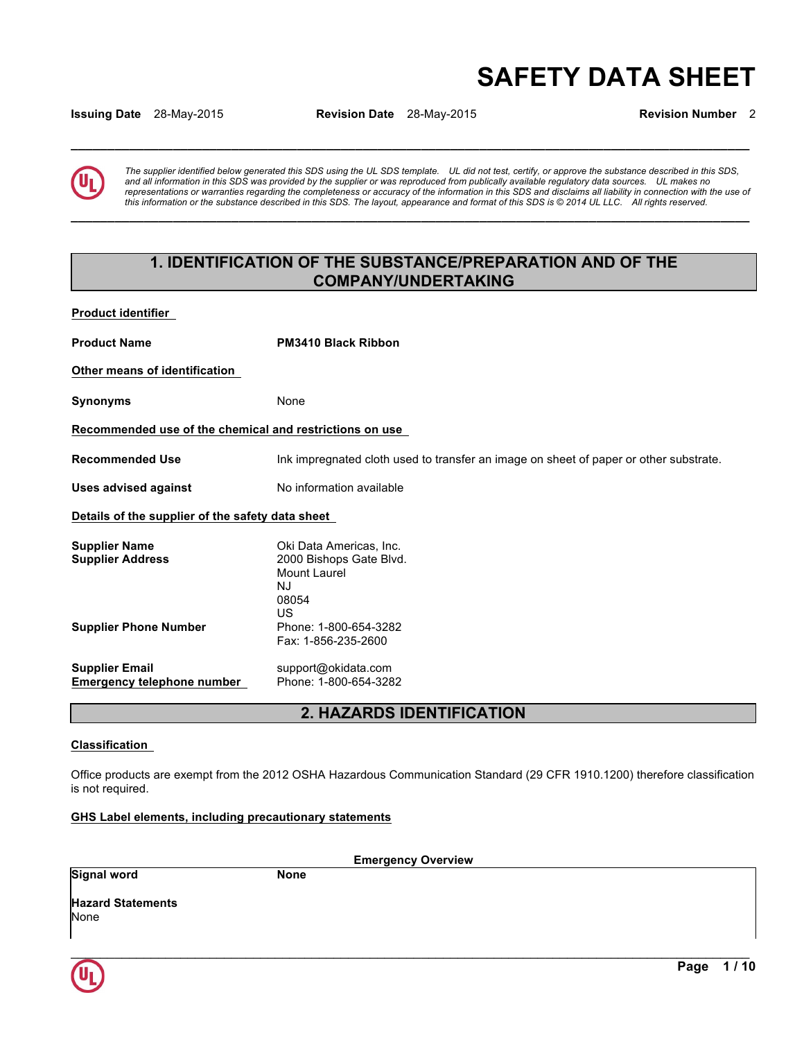# **SAFETY DATA SHEET**

**Issuing Date** 28-May-2015 **Revision Date** 28-May-2015 **Revision Number** 2

**\_\_\_\_\_\_\_\_\_\_\_\_\_\_\_\_\_\_\_\_\_\_\_\_\_\_\_\_\_\_\_\_\_\_\_\_\_\_\_\_\_\_\_\_\_\_\_\_\_\_\_\_\_\_\_\_\_\_\_\_\_\_\_\_\_\_\_\_\_\_\_\_\_\_\_\_\_\_\_\_\_\_\_\_\_\_\_\_\_\_\_\_\_** 

**\_\_\_\_\_\_\_\_\_\_\_\_\_\_\_\_\_\_\_\_\_\_\_\_\_\_\_\_\_\_\_\_\_\_\_\_\_\_\_\_\_\_\_\_\_\_\_\_\_\_\_\_\_\_\_\_\_\_\_\_\_\_\_\_\_\_\_\_\_\_\_\_\_\_\_\_\_\_\_\_\_\_\_\_\_\_\_\_\_\_\_\_\_** 

*The supplier identified below generated this SDS using the UL SDS template. UL did not test, certify, or approve the substance described in this SDS, and all information in this SDS was provided by the supplier or was reproduced from publically available regulatory data sources. UL makes no representations or warranties regarding the completeness or accuracy of the information in this SDS and disclaims all liability in connection with the use of this information or the substance described in this SDS. The layout, appearance and format of this SDS is © 2014 UL LLC. All rights reserved.* 

# **1. IDENTIFICATION OF THE SUBSTANCE/PREPARATION AND OF THE COMPANY/UNDERTAKING**

**Product identifier** 

**Product Name PM3410 Black Ribbon Other means of identification Synonyms** None **Recommended use of the chemical and restrictions on use Recommended Use** Ink impregnated cloth used to transfer an image on sheet of paper or other substrate. **Uses advised against** No information available **Details of the supplier of the safety data sheet Supplier Name Case Communist Communist Communist Communist Communist Communist Communist Communist Communist Communist Communist Communist Communist Communist Communist Communist Communist Communist Communist Communist Supplier Address** 2000 Bishops Gate Blvd. Mount Laurel NJ 08054 US **Supplier Phone Number** Phone: 1-800-654-3282 Fax: 1-856-235-2600 **Supplier Email** support@okidata.com **Emergency telephone number** 

**2. HAZARDS IDENTIFICATION** 

# **Classification**

Office products are exempt from the 2012 OSHA Hazardous Communication Standard (29 CFR 1910.1200) therefore classification is not required.

**GHS Label elements, including precautionary statements**

| <b>Emergency Overview</b>        |             |  |  |
|----------------------------------|-------------|--|--|
| <b>Signal word</b>               | <b>None</b> |  |  |
| <b>Hazard Statements</b><br>None |             |  |  |
|                                  |             |  |  |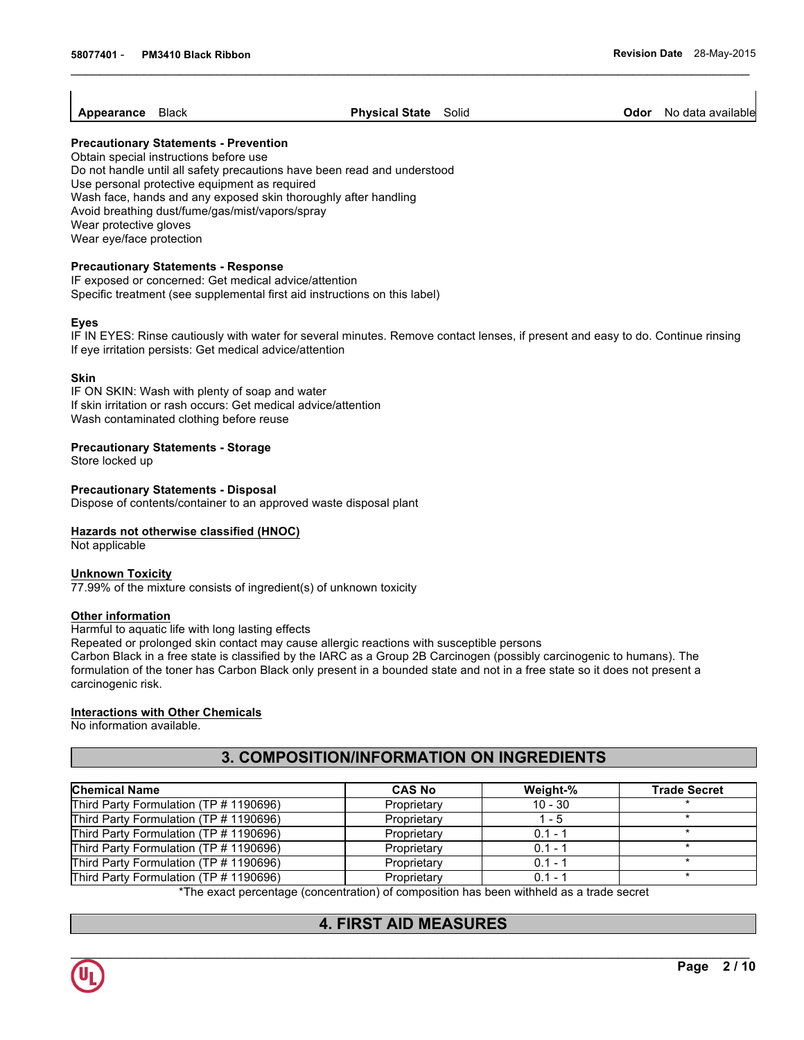**Appearance** Black **Physical State** Solid **Odor** No data available

#### **Precautionary Statements - Prevention**

Obtain special instructions before use Do not handle until all safety precautions have been read and understood Use personal protective equipment as required Wash face, hands and any exposed skin thoroughly after handling Avoid breathing dust/fume/gas/mist/vapors/spray Wear protective gloves Wear eye/face protection

### **Precautionary Statements - Response**

IF exposed or concerned: Get medical advice/attention Specific treatment (see supplemental first aid instructions on this label)

#### **Eyes**

IF IN EYES: Rinse cautiously with water for several minutes. Remove contact lenses, if present and easy to do. Continue rinsing If eye irritation persists: Get medical advice/attention

#### **Skin**

IF ON SKIN: Wash with plenty of soap and water If skin irritation or rash occurs: Get medical advice/attention Wash contaminated clothing before reuse

### **Precautionary Statements - Storage**

Store locked up

### **Precautionary Statements - Disposal**

Dispose of contents/container to an approved waste disposal plant

#### **Hazards not otherwise classified (HNOC)**

Not applicable

#### **Unknown Toxicity**

77.99% of the mixture consists of ingredient(s) of unknown toxicity

#### **Other information**

Harmful to aquatic life with long lasting effects

Repeated or prolonged skin contact may cause allergic reactions with susceptible persons

Carbon Black in a free state is classified by the IARC as a Group 2B Carcinogen (possibly carcinogenic to humans). The formulation of the toner has Carbon Black only present in a bounded state and not in a free state so it does not present a carcinogenic risk.

# **Interactions with Other Chemicals**

No information available.

# **3. COMPOSITION/INFORMATION ON INGREDIENTS**

| <b>Chemical Name</b>                   | <b>CAS No</b> | Weight-%  | <b>Trade Secret</b> |
|----------------------------------------|---------------|-----------|---------------------|
| Third Party Formulation (TP # 1190696) | Proprietary   | $10 - 30$ |                     |
| Third Party Formulation (TP # 1190696) | Proprietary   | $1 - 5$   |                     |
| Third Party Formulation (TP # 1190696) | Proprietary   | $0.1 - 1$ |                     |
| Third Party Formulation (TP # 1190696) | Proprietary   | $0.1 - 1$ |                     |
| Third Party Formulation (TP # 1190696) | Proprietary   | $0.1 - 1$ |                     |
| Third Party Formulation (TP # 1190696) | Proprietary   | $0.1 - 1$ |                     |

\*The exact percentage (concentration) of composition has been withheld as a trade secret

# **4. FIRST AID MEASURES**

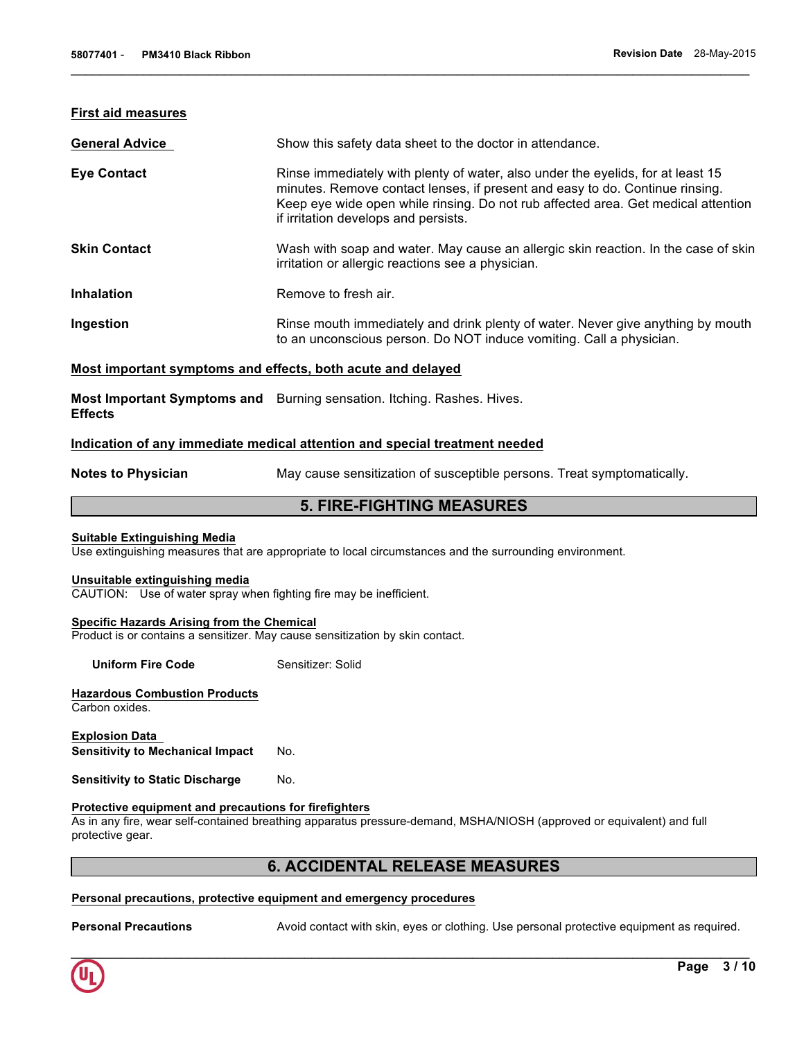#### **First aid measures**

| <b>General Advice</b> | Show this safety data sheet to the doctor in attendance.                                                                                                                                                                                                                                     |
|-----------------------|----------------------------------------------------------------------------------------------------------------------------------------------------------------------------------------------------------------------------------------------------------------------------------------------|
| <b>Eye Contact</b>    | Rinse immediately with plenty of water, also under the eyelids, for at least 15<br>minutes. Remove contact lenses, if present and easy to do. Continue rinsing.<br>Keep eye wide open while rinsing. Do not rub affected area. Get medical attention<br>if irritation develops and persists. |
| <b>Skin Contact</b>   | Wash with soap and water. May cause an allergic skin reaction. In the case of skin<br>irritation or allergic reactions see a physician.                                                                                                                                                      |
| <b>Inhalation</b>     | Remove to fresh air.                                                                                                                                                                                                                                                                         |
| Ingestion             | Rinse mouth immediately and drink plenty of water. Never give anything by mouth<br>to an unconscious person. Do NOT induce vomiting. Call a physician.                                                                                                                                       |

 $\mathcal{L}_\mathcal{L} = \{ \mathcal{L}_\mathcal{L} = \{ \mathcal{L}_\mathcal{L} = \{ \mathcal{L}_\mathcal{L} = \{ \mathcal{L}_\mathcal{L} = \{ \mathcal{L}_\mathcal{L} = \{ \mathcal{L}_\mathcal{L} = \{ \mathcal{L}_\mathcal{L} = \{ \mathcal{L}_\mathcal{L} = \{ \mathcal{L}_\mathcal{L} = \{ \mathcal{L}_\mathcal{L} = \{ \mathcal{L}_\mathcal{L} = \{ \mathcal{L}_\mathcal{L} = \{ \mathcal{L}_\mathcal{L} = \{ \mathcal{L}_\mathcal{$ 

# **Most important symptoms and effects, both acute and delayed**

**Most Important Symptoms and**  Burning sensation. Itching. Rashes. Hives. **Effects** 

# **Indication of any immediate medical attention and special treatment needed**

**Notes to Physician** May cause sensitization of susceptible persons. Treat symptomatically.

# **5. FIRE-FIGHTING MEASURES**

#### **Suitable Extinguishing Media**

Use extinguishing measures that are appropriate to local circumstances and the surrounding environment.

#### **Unsuitable extinguishing media**

CAUTION: Use of water spray when fighting fire may be inefficient.

#### **Specific Hazards Arising from the Chemical**

Product is or contains a sensitizer. May cause sensitization by skin contact.

**Uniform Fire Code Sensitizer: Solid** 

#### **Hazardous Combustion Products** Carbon oxides.

**Explosion Data Sensitivity to Mechanical Impact** No.

**Sensitivity to Static Discharge Mo.** 

#### **Protective equipment and precautions for firefighters**

As in any fire, wear self-contained breathing apparatus pressure-demand, MSHA/NIOSH (approved or equivalent) and full protective gear.

# **6. ACCIDENTAL RELEASE MEASURES**

# **Personal precautions, protective equipment and emergency procedures**

**Personal Precautions** Avoid contact with skin, eyes or clothing. Use personal protective equipment as required.

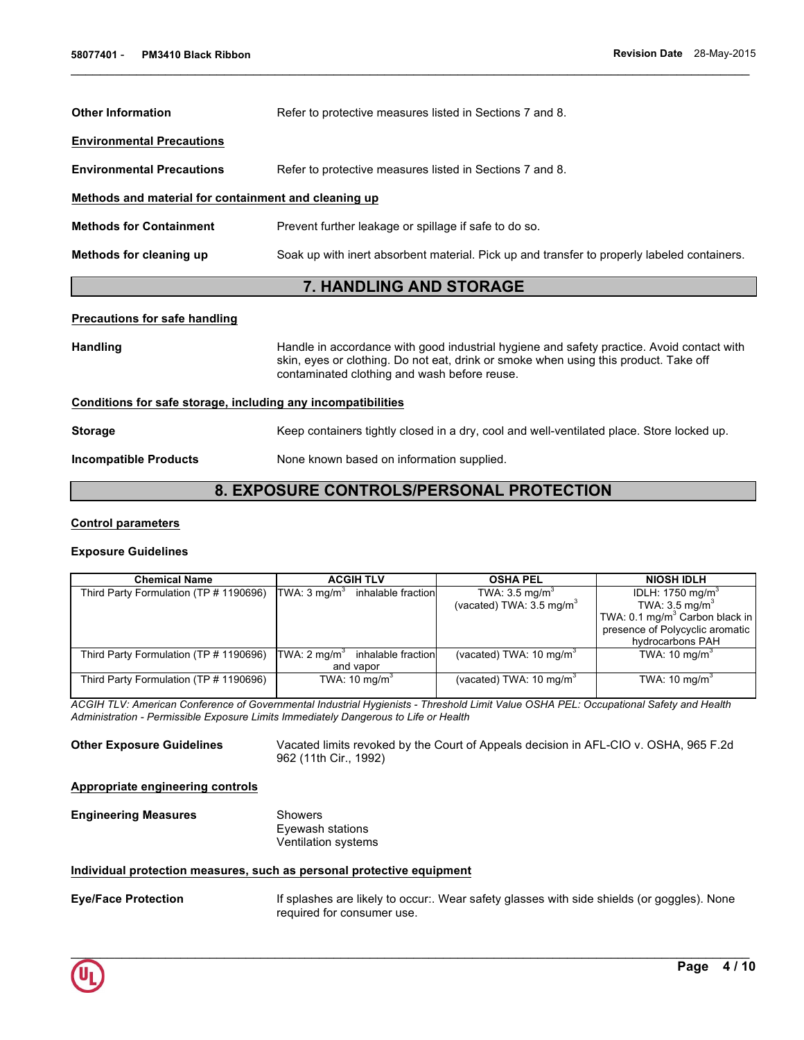| <b>Other Information</b>                             | Refer to protective measures listed in Sections 7 and 8.                                    |  |  |
|------------------------------------------------------|---------------------------------------------------------------------------------------------|--|--|
| <b>Environmental Precautions</b>                     |                                                                                             |  |  |
| <b>Environmental Precautions</b>                     | Refer to protective measures listed in Sections 7 and 8.                                    |  |  |
| Methods and material for containment and cleaning up |                                                                                             |  |  |
| <b>Methods for Containment</b>                       | Prevent further leakage or spillage if safe to do so.                                       |  |  |
| Methods for cleaning up                              | Soak up with inert absorbent material. Pick up and transfer to properly labeled containers. |  |  |
| <b>7. HANDLING AND STORAGE</b>                       |                                                                                             |  |  |
| <b>Procautions for safe handling</b>                 |                                                                                             |  |  |

#### **Precautions for safe handling**

| Handle in accordance with good industrial hygiene and safety practice. Avoid contact with<br><b>Handling</b><br>skin, eyes or clothing. Do not eat, drink or smoke when using this product. Take off<br>contaminated clothing and wash before reuse. |                                                                                           |  |
|------------------------------------------------------------------------------------------------------------------------------------------------------------------------------------------------------------------------------------------------------|-------------------------------------------------------------------------------------------|--|
|                                                                                                                                                                                                                                                      | Conditions for safe storage, including any incompatibilities                              |  |
| <b>Storage</b>                                                                                                                                                                                                                                       | Keep containers tightly closed in a dry, cool and well-ventilated place. Store locked up. |  |
| <b>Incompatible Products</b>                                                                                                                                                                                                                         | None known based on information supplied.                                                 |  |

# **8. EXPOSURE CONTROLS/PERSONAL PROTECTION**

#### **Control parameters**

#### **Exposure Guidelines**

| <b>Chemical Name</b> |                                        | <b>ACGIH TLV</b>        |                                            | <b>OSHA PEL</b>                     | <b>NIOSH IDLH</b>                          |
|----------------------|----------------------------------------|-------------------------|--------------------------------------------|-------------------------------------|--------------------------------------------|
|                      | Third Party Formulation (TP # 1190696) | TWA: $3 \text{ mg/m}^3$ | inhalable fraction                         | TWA: $3.5 \text{ mg/m}^3$           | IDLH: 1750 mg/m <sup>3</sup>               |
|                      |                                        |                         |                                            | (vacated) TWA: $3.5 \text{ mg/m}^3$ | TWA: 3.5 mg/m <sup>3</sup>                 |
|                      |                                        |                         |                                            |                                     | TWA: 0.1 mg/m <sup>3</sup> Carbon black in |
|                      |                                        |                         |                                            |                                     | presence of Polycyclic aromatic            |
|                      |                                        |                         |                                            |                                     | hydrocarbons PAH                           |
|                      | Third Party Formulation (TP # 1190696) |                         | TWA: $2 \text{ mq/m}^3$ inhalable fraction | (vacated) TWA: $10 \text{ mg/m}^3$  | TWA: $10 \text{ mg/m}^3$                   |
|                      |                                        | and vapor               |                                            |                                     |                                            |
|                      | Third Party Formulation (TP # 1190696) |                         | TWA: 10 mg/m <sup>3</sup>                  | (vacated) TWA: $10 \text{ mg/m}^3$  | TWA: 10 mg/m <sup>3</sup>                  |
|                      |                                        |                         |                                            |                                     |                                            |

*ACGIH TLV: American Conference of Governmental Industrial Hygienists - Threshold Limit Value OSHA PEL: Occupational Safety and Health Administration - Permissible Exposure Limits Immediately Dangerous to Life or Health* 

**Other Exposure Guidelines** Vacated limits revoked by the Court of Appeals decision in AFL-CIO v. OSHA, 965 F.2d 962 (11th Cir., 1992)

### **Appropriate engineering controls**

# **Engineering Measures** Showers Eyewash stations Ventilation systems

### **Individual protection measures, such as personal protective equipment**

**Eye/Face Protection** If splashes are likely to occur:. Wear safety glasses with side shields (or goggles). None required for consumer use.

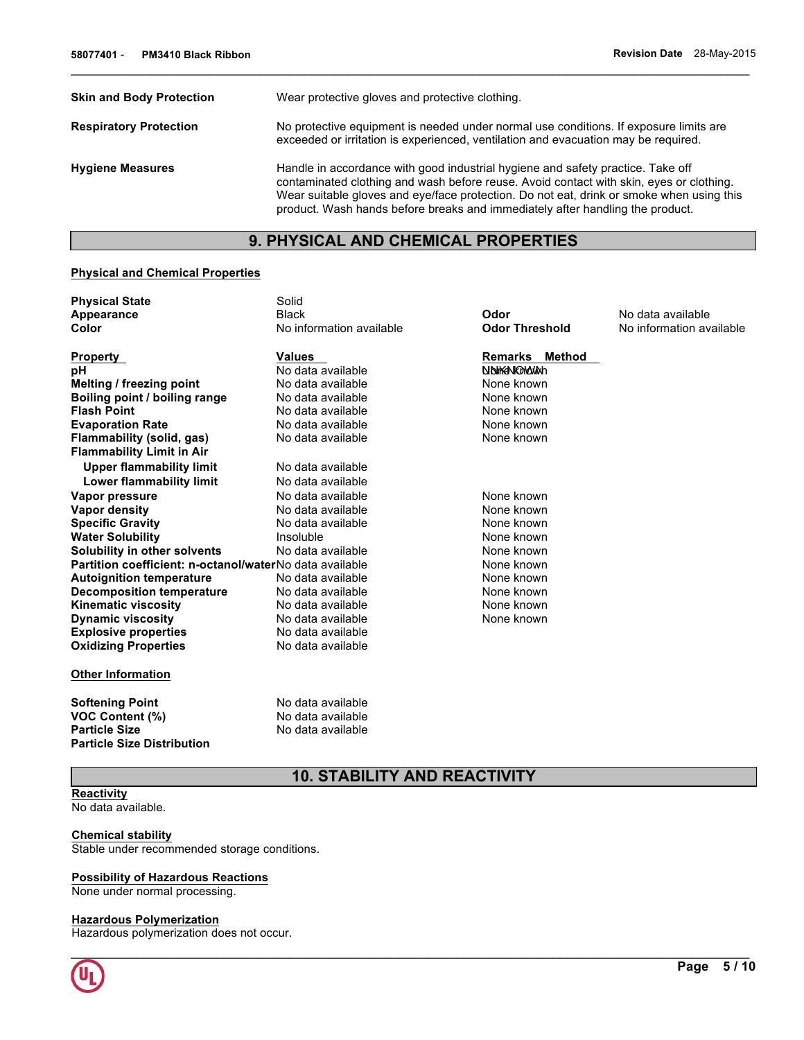**No information available** 

| <b>Skin and Body Protection</b> | Wear protective gloves and protective clothing.                                                                                                                                                                                                                                                                                                         |  |  |
|---------------------------------|---------------------------------------------------------------------------------------------------------------------------------------------------------------------------------------------------------------------------------------------------------------------------------------------------------------------------------------------------------|--|--|
| <b>Respiratory Protection</b>   | No protective equipment is needed under normal use conditions. If exposure limits are<br>exceeded or irritation is experienced, ventilation and evacuation may be required.                                                                                                                                                                             |  |  |
| <b>Hygiene Measures</b>         | Handle in accordance with good industrial hygiene and safety practice. Take off<br>contaminated clothing and wash before reuse. Avoid contact with skin, eyes or clothing.<br>Wear suitable gloves and eye/face protection. Do not eat, drink or smoke when using this<br>product. Wash hands before breaks and immediately after handling the product. |  |  |

 $\mathcal{L}_\mathcal{L} = \{ \mathcal{L}_\mathcal{L} = \{ \mathcal{L}_\mathcal{L} = \{ \mathcal{L}_\mathcal{L} = \{ \mathcal{L}_\mathcal{L} = \{ \mathcal{L}_\mathcal{L} = \{ \mathcal{L}_\mathcal{L} = \{ \mathcal{L}_\mathcal{L} = \{ \mathcal{L}_\mathcal{L} = \{ \mathcal{L}_\mathcal{L} = \{ \mathcal{L}_\mathcal{L} = \{ \mathcal{L}_\mathcal{L} = \{ \mathcal{L}_\mathcal{L} = \{ \mathcal{L}_\mathcal{L} = \{ \mathcal{L}_\mathcal{$ 

# **9. PHYSICAL AND CHEMICAL PROPERTIES**

# **Physical and Chemical Properties**

| <b>Physical State</b>                                   | Solid                    |                          |                   |
|---------------------------------------------------------|--------------------------|--------------------------|-------------------|
| Appearance                                              | <b>Black</b>             | Odor                     | No data available |
| Color                                                   | No information available | <b>Odor Threshold</b>    | No information av |
| Property                                                | <b>Values</b>            | <b>Remarks</b><br>Method |                   |
| рH                                                      | No data available        | NOWENOWAN                |                   |
| Melting / freezing point                                | No data available        | None known               |                   |
| Boiling point / boiling range                           | No data available        | None known               |                   |
| <b>Flash Point</b>                                      | No data available        | None known               |                   |
| <b>Evaporation Rate</b>                                 | No data available        | None known               |                   |
| Flammability (solid, gas)                               | No data available        | None known               |                   |
| <b>Flammability Limit in Air</b>                        |                          |                          |                   |
| <b>Upper flammability limit</b>                         | No data available        |                          |                   |
| Lower flammability limit                                | No data available        |                          |                   |
| Vapor pressure                                          | No data available        | None known               |                   |
| Vapor density                                           | No data available        | None known               |                   |
| <b>Specific Gravity</b>                                 | No data available        | None known               |                   |
| <b>Water Solubility</b>                                 | Insoluble                | None known               |                   |
| Solubility in other solvents                            | No data available        | None known               |                   |
| Partition coefficient: n-octanol/waterNo data available |                          | None known               |                   |
| <b>Autoignition temperature</b>                         | No data available        | None known               |                   |
| <b>Decomposition temperature</b>                        | No data available        | None known               |                   |
| Kinematic viscosity                                     | No data available        | None known               |                   |
| <b>Dynamic viscosity</b>                                | No data available        | None known               |                   |
| <b>Explosive properties</b>                             | No data available        |                          |                   |
| <b>Oxidizing Properties</b>                             | No data available        |                          |                   |
| <b>Other Information</b>                                |                          |                          |                   |
| <b>Softening Point</b>                                  | No data available        |                          |                   |

**Particle Size** No data available

**VOC Content (%)**<br> **VOC Content (%)**<br> **Particle Size**<br>
No data available<br>
No data available **Particle Size Distribution** 

# **10. STABILITY AND REACTIVITY**

# **Reactivity**

No data available.

#### **Chemical stability**

Stable under recommended storage conditions.

### **Possibility of Hazardous Reactions**

None under normal processing.

# **Hazardous Polymerization**

Hazardous polymerization does not occur.

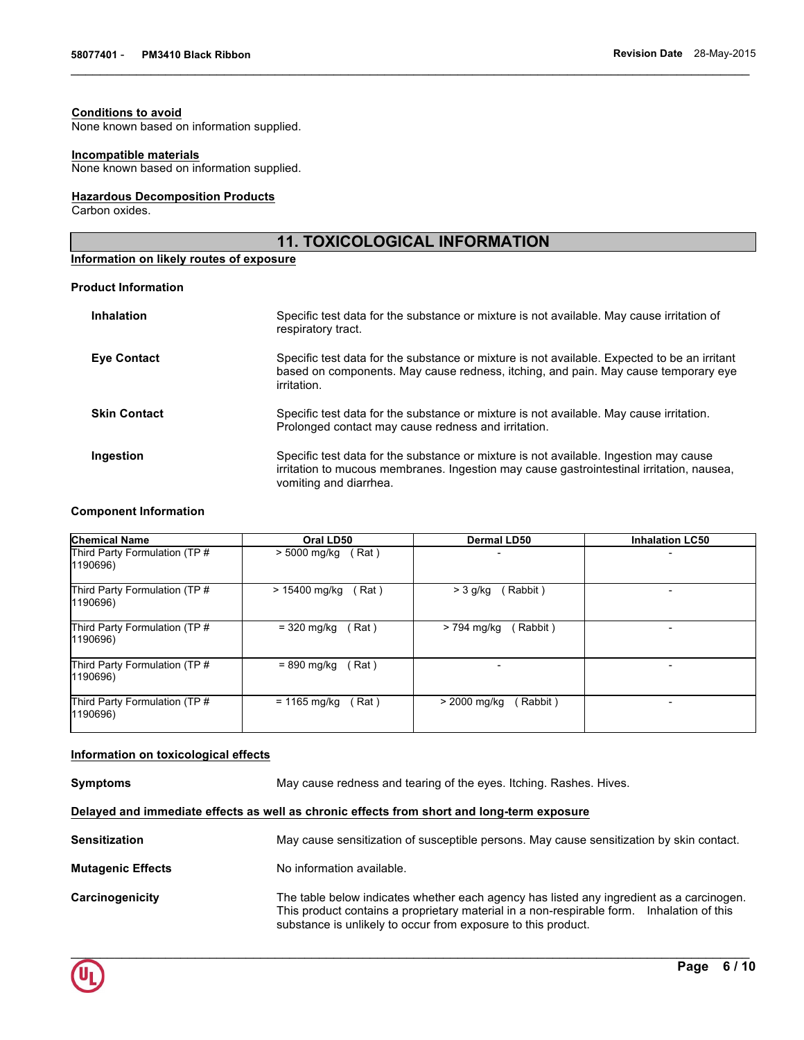# **Conditions to avoid**

None known based on information supplied.

# **Incompatible materials**

None known based on information supplied.

# **Hazardous Decomposition Products**

Carbon oxides.

# **11. TOXICOLOGICAL INFORMATION**

 $\mathcal{L}_\mathcal{L} = \{ \mathcal{L}_\mathcal{L} = \{ \mathcal{L}_\mathcal{L} = \{ \mathcal{L}_\mathcal{L} = \{ \mathcal{L}_\mathcal{L} = \{ \mathcal{L}_\mathcal{L} = \{ \mathcal{L}_\mathcal{L} = \{ \mathcal{L}_\mathcal{L} = \{ \mathcal{L}_\mathcal{L} = \{ \mathcal{L}_\mathcal{L} = \{ \mathcal{L}_\mathcal{L} = \{ \mathcal{L}_\mathcal{L} = \{ \mathcal{L}_\mathcal{L} = \{ \mathcal{L}_\mathcal{L} = \{ \mathcal{L}_\mathcal{$ 

# **Information on likely routes of exposure**

#### **Product Information**

| <b>Inhalation</b>   | Specific test data for the substance or mixture is not available. May cause irritation of<br>respiratory tract.                                                                                             |
|---------------------|-------------------------------------------------------------------------------------------------------------------------------------------------------------------------------------------------------------|
| <b>Eye Contact</b>  | Specific test data for the substance or mixture is not available. Expected to be an irritant<br>based on components. May cause redness, itching, and pain. May cause temporary eye<br>irritation.           |
| <b>Skin Contact</b> | Specific test data for the substance or mixture is not available. May cause irritation.<br>Prolonged contact may cause redness and irritation.                                                              |
| Ingestion           | Specific test data for the substance or mixture is not available. Ingestion may cause<br>irritation to mucous membranes. Ingestion may cause gastrointestinal irritation, nausea,<br>vomiting and diarrhea. |

### **Component Information**

| <b>Chemical Name</b>                      | Oral LD50             | <b>Dermal LD50</b> | <b>Inhalation LC50</b>   |
|-------------------------------------------|-----------------------|--------------------|--------------------------|
| Third Party Formulation (TP #<br>1190696) | > 5000 mg/kg<br>(Rat) |                    |                          |
| Third Party Formulation (TP #             | > 15400 mg/kg         | (Rabbit)           | $\overline{\phantom{0}}$ |
| 1190696)                                  | Rat)                  | $>$ 3 g/kg         |                          |
| Third Party Formulation (TP #             | = 320 mg/kg           | (Rabbit)           |                          |
| 1190696)                                  | (Rat)                 | > 794 mg/kg        |                          |
| Third Party Formulation (TP #<br>1190696) | = 890 mg/kg<br>(Rat)  |                    | $\overline{\phantom{0}}$ |
| Third Party Formulation (TP #             | $= 1165$ mg/kg        | > 2000 mg/kg       | $\overline{\phantom{0}}$ |
| 1190696)                                  | (Rat)                 | Rabbit)            |                          |

# **Information on toxicological effects**

**Symptoms May cause redness and tearing of the eyes. Itching. Rashes. Hives.** 

**Delayed and immediate effects as well as chronic effects from short and long-term exposure**

| <b>Sensitization</b>     | May cause sensitization of susceptible persons. May cause sensitization by skin contact.                                                                                                                                                               |
|--------------------------|--------------------------------------------------------------------------------------------------------------------------------------------------------------------------------------------------------------------------------------------------------|
| <b>Mutagenic Effects</b> | No information available.                                                                                                                                                                                                                              |
| Carcinogenicity          | The table below indicates whether each agency has listed any ingredient as a carcinogen.<br>This product contains a proprietary material in a non-respirable form. Inhalation of this<br>substance is unlikely to occur from exposure to this product. |

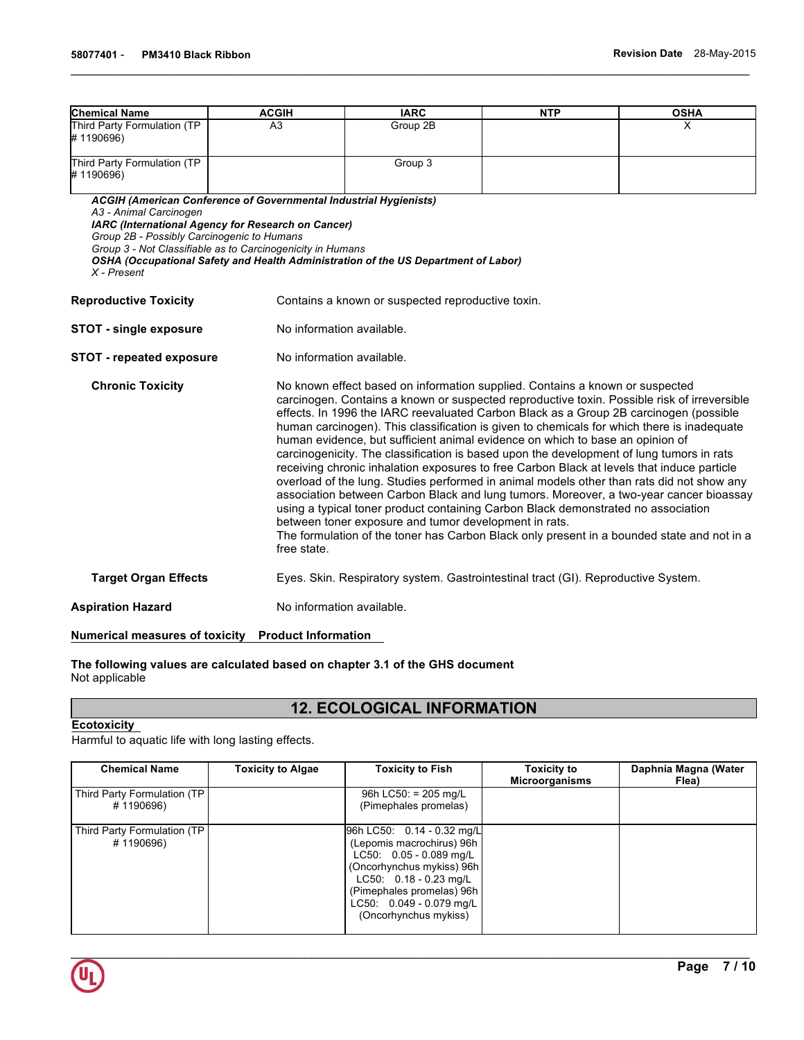| <b>Chemical Name</b>                                                                                                                                                                                                                                                                                                                                                                                                                                                                                                                                                                                                                                                                                                                                                                                                                                                                                                                                                                                                                                                                                                       | <b>ACGIH</b>                                                                                                                                                                                        | <b>IARC</b>                                                                        | <b>NTP</b> | <b>OSHA</b> |  |
|----------------------------------------------------------------------------------------------------------------------------------------------------------------------------------------------------------------------------------------------------------------------------------------------------------------------------------------------------------------------------------------------------------------------------------------------------------------------------------------------------------------------------------------------------------------------------------------------------------------------------------------------------------------------------------------------------------------------------------------------------------------------------------------------------------------------------------------------------------------------------------------------------------------------------------------------------------------------------------------------------------------------------------------------------------------------------------------------------------------------------|-----------------------------------------------------------------------------------------------------------------------------------------------------------------------------------------------------|------------------------------------------------------------------------------------|------------|-------------|--|
| Third Party Formulation (TP<br>#1190696)                                                                                                                                                                                                                                                                                                                                                                                                                                                                                                                                                                                                                                                                                                                                                                                                                                                                                                                                                                                                                                                                                   | A3                                                                                                                                                                                                  | Group 2B                                                                           |            | x           |  |
| Third Party Formulation (TP<br>#1190696)                                                                                                                                                                                                                                                                                                                                                                                                                                                                                                                                                                                                                                                                                                                                                                                                                                                                                                                                                                                                                                                                                   |                                                                                                                                                                                                     | Group 3                                                                            |            |             |  |
| A3 - Animal Carcinogen<br>Group 2B - Possibly Carcinogenic to Humans<br>X - Present                                                                                                                                                                                                                                                                                                                                                                                                                                                                                                                                                                                                                                                                                                                                                                                                                                                                                                                                                                                                                                        | <b>ACGIH (American Conference of Governmental Industrial Hygienists)</b><br><b>IARC (International Agency for Research on Cancer)</b><br>Group 3 - Not Classifiable as to Carcinogenicity in Humans | OSHA (Occupational Safety and Health Administration of the US Department of Labor) |            |             |  |
| <b>Reproductive Toxicity</b>                                                                                                                                                                                                                                                                                                                                                                                                                                                                                                                                                                                                                                                                                                                                                                                                                                                                                                                                                                                                                                                                                               |                                                                                                                                                                                                     | Contains a known or suspected reproductive toxin.                                  |            |             |  |
| <b>STOT - single exposure</b>                                                                                                                                                                                                                                                                                                                                                                                                                                                                                                                                                                                                                                                                                                                                                                                                                                                                                                                                                                                                                                                                                              |                                                                                                                                                                                                     | No information available.                                                          |            |             |  |
| <b>STOT - repeated exposure</b>                                                                                                                                                                                                                                                                                                                                                                                                                                                                                                                                                                                                                                                                                                                                                                                                                                                                                                                                                                                                                                                                                            | No information available.                                                                                                                                                                           |                                                                                    |            |             |  |
| <b>Chronic Toxicity</b><br>No known effect based on information supplied. Contains a known or suspected<br>carcinogen. Contains a known or suspected reproductive toxin. Possible risk of irreversible<br>effects. In 1996 the IARC reevaluated Carbon Black as a Group 2B carcinogen (possible<br>human carcinogen). This classification is given to chemicals for which there is inadequate<br>human evidence, but sufficient animal evidence on which to base an opinion of<br>carcinogenicity. The classification is based upon the development of lung tumors in rats<br>receiving chronic inhalation exposures to free Carbon Black at levels that induce particle<br>overload of the lung. Studies performed in animal models other than rats did not show any<br>association between Carbon Black and lung tumors. Moreover, a two-year cancer bioassay<br>using a typical toner product containing Carbon Black demonstrated no association<br>between toner exposure and tumor development in rats.<br>The formulation of the toner has Carbon Black only present in a bounded state and not in a<br>free state. |                                                                                                                                                                                                     |                                                                                    |            |             |  |
| <b>Target Organ Effects</b>                                                                                                                                                                                                                                                                                                                                                                                                                                                                                                                                                                                                                                                                                                                                                                                                                                                                                                                                                                                                                                                                                                |                                                                                                                                                                                                     | Eyes. Skin. Respiratory system. Gastrointestinal tract (GI). Reproductive System.  |            |             |  |
| <b>Aspiration Hazard</b>                                                                                                                                                                                                                                                                                                                                                                                                                                                                                                                                                                                                                                                                                                                                                                                                                                                                                                                                                                                                                                                                                                   | No information available.                                                                                                                                                                           |                                                                                    |            |             |  |

# **Numerical measures of toxicity Product Information**

# **The following values are calculated based on chapter 3.1 of the GHS document** Not applicable

# **12. ECOLOGICAL INFORMATION**

# **Ecotoxicity**

Harmful to aquatic life with long lasting effects.

| <b>Chemical Name</b>                      | <b>Toxicity to Algae</b> | <b>Toxicity to Fish</b>                                                                                                                                                                                                       | <b>Toxicity to</b><br><b>Microorganisms</b> | Daphnia Magna (Water<br>Flea) |
|-------------------------------------------|--------------------------|-------------------------------------------------------------------------------------------------------------------------------------------------------------------------------------------------------------------------------|---------------------------------------------|-------------------------------|
| Third Party Formulation (TP<br>#1190696)  |                          | 96h LC50: $= 205$ mg/L<br>(Pimephales promelas)                                                                                                                                                                               |                                             |                               |
| Third Party Formulation (TP)<br>#1190696) |                          | 96h LC50: 0.14 - 0.32 mg/L<br>(Lepomis macrochirus) 96h<br>LC50: 0.05 - 0.089 mg/L<br>(Oncorhynchus mykiss) 96h<br>$LC50: 0.18 - 0.23$ mg/L<br>(Pimephales promelas) 96h<br>LC50: 0.049 - 0.079 mg/L<br>(Oncorhynchus mykiss) |                                             |                               |

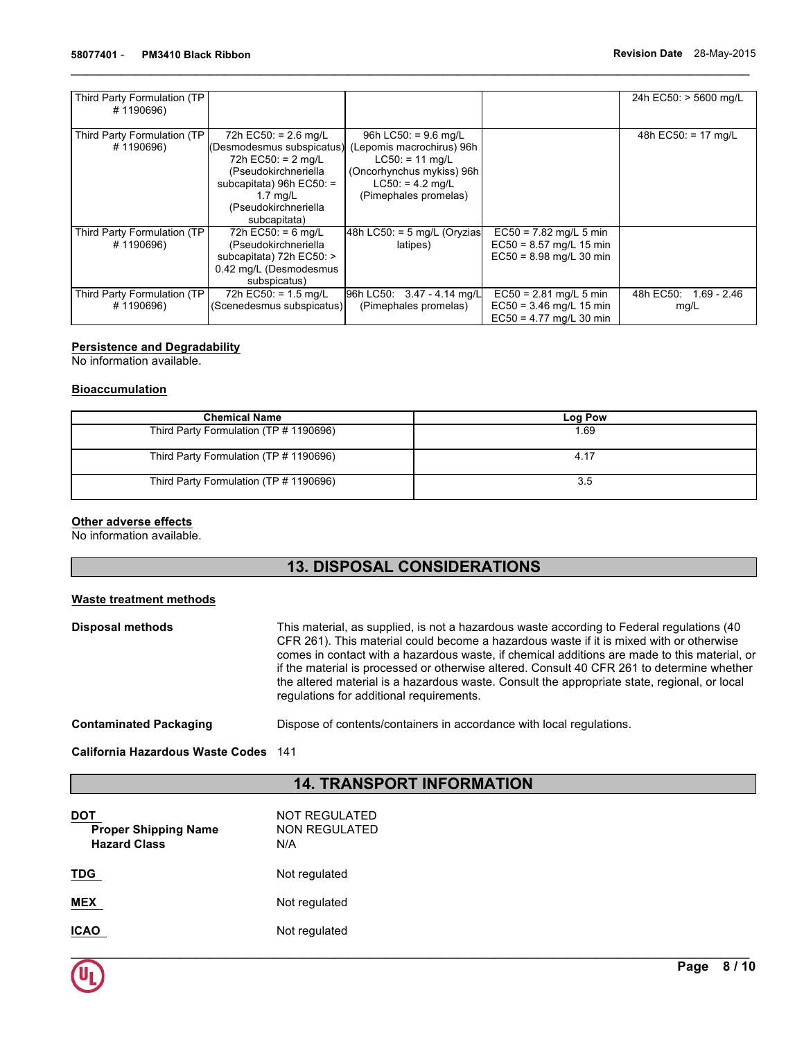| Third Party Formulation (TP  |                           |                                |                           | 24h EC50: > 5600 mg/L |
|------------------------------|---------------------------|--------------------------------|---------------------------|-----------------------|
| #1190696)                    |                           |                                |                           |                       |
|                              |                           |                                |                           |                       |
|                              |                           |                                |                           |                       |
| Third Party Formulation (TP) | 72h EC50: = $2.6$ mg/L    | 96h LC50: = $9.6 \text{ mg/L}$ |                           | 48h EC50: $= 17$ mg/L |
| #1190696)                    | (Desmodesmus subspicatus) | (Lepomis macrochirus) 96h      |                           |                       |
|                              | 72h $EC50: = 2$ mg/L      | $LC50: = 11$ mg/L              |                           |                       |
|                              | (Pseudokirchneriella      | (Oncorhynchus mykiss) 96h      |                           |                       |
|                              | subcapitata) 96h EC50: =  | $LC50: = 4.2$ mg/L             |                           |                       |
|                              | $1.7 \text{ mq/L}$        | (Pimephales promelas)          |                           |                       |
|                              | (Pseudokirchneriella      |                                |                           |                       |
|                              | subcapitata)              |                                |                           |                       |
| Third Party Formulation (TP  | 72h EC50: = $6$ mg/L      | 48h LC50: = 5 mg/L (Oryzias    | $EC50 = 7.82$ mg/L 5 min  |                       |
| #1190696)                    | (Pseudokirchneriella      | latipes)                       | $EC50 = 8.57$ mg/L 15 min |                       |
|                              | subcapitata) 72h EC50: >  |                                | $EC50 = 8.98$ mg/L 30 min |                       |
|                              | 0.42 mg/L (Desmodesmus    |                                |                           |                       |
|                              | subspicatus)              |                                |                           |                       |
| Third Party Formulation (TP) | 72h EC50: = $1.5$ mg/L    | 96h LC50: 3.47 - 4.14 mg/L     | $EC50 = 2.81$ mg/L 5 min  | 48h EC50: 1.69 - 2.46 |
| #1190696)                    | (Scenedesmus subspicatus) | (Pimephales promelas)          | $EC50 = 3.46$ mg/L 15 min | mg/L                  |
|                              |                           |                                | $EC50 = 4.77$ mg/L 30 min |                       |

# **Persistence and Degradability**

No information available.

# **Bioaccumulation**

| <b>Chemical Name</b>                   | Log Pow |
|----------------------------------------|---------|
| Third Party Formulation (TP # 1190696) | 1.69    |
| Third Party Formulation (TP # 1190696) | 4.17    |
| Third Party Formulation (TP # 1190696) | 3.5     |

# **Other adverse effects**

No information available.

# **13. DISPOSAL CONSIDERATIONS**

# **Waste treatment methods**

| Disposal methods | This material, as supplied, is not a hazardous waste according to Federal regulations (40<br>CFR 261). This material could become a hazardous waste if it is mixed with or otherwise<br>comes in contact with a hazardous waste, if chemical additions are made to this material, or<br>if the material is processed or otherwise altered. Consult 40 CFR 261 to determine whether<br>the altered material is a hazardous waste. Consult the appropriate state, regional, or local<br>regulations for additional requirements. |
|------------------|--------------------------------------------------------------------------------------------------------------------------------------------------------------------------------------------------------------------------------------------------------------------------------------------------------------------------------------------------------------------------------------------------------------------------------------------------------------------------------------------------------------------------------|
|                  |                                                                                                                                                                                                                                                                                                                                                                                                                                                                                                                                |

**Contaminated Packaging** Dispose of contents/containers in accordance with local regulations.

**California Hazardous Waste Codes** 141

# **14. TRANSPORT INFORMATION**

| <b>Proper Shipping Name</b><br><b>Hazard Class</b> | NOT REGULATED<br>NON REGULATED<br>N/A |
|----------------------------------------------------|---------------------------------------|
| TDG                                                | Not regulated                         |
| MEX                                                | Not regulated                         |
| ICAO                                               | Not regulated                         |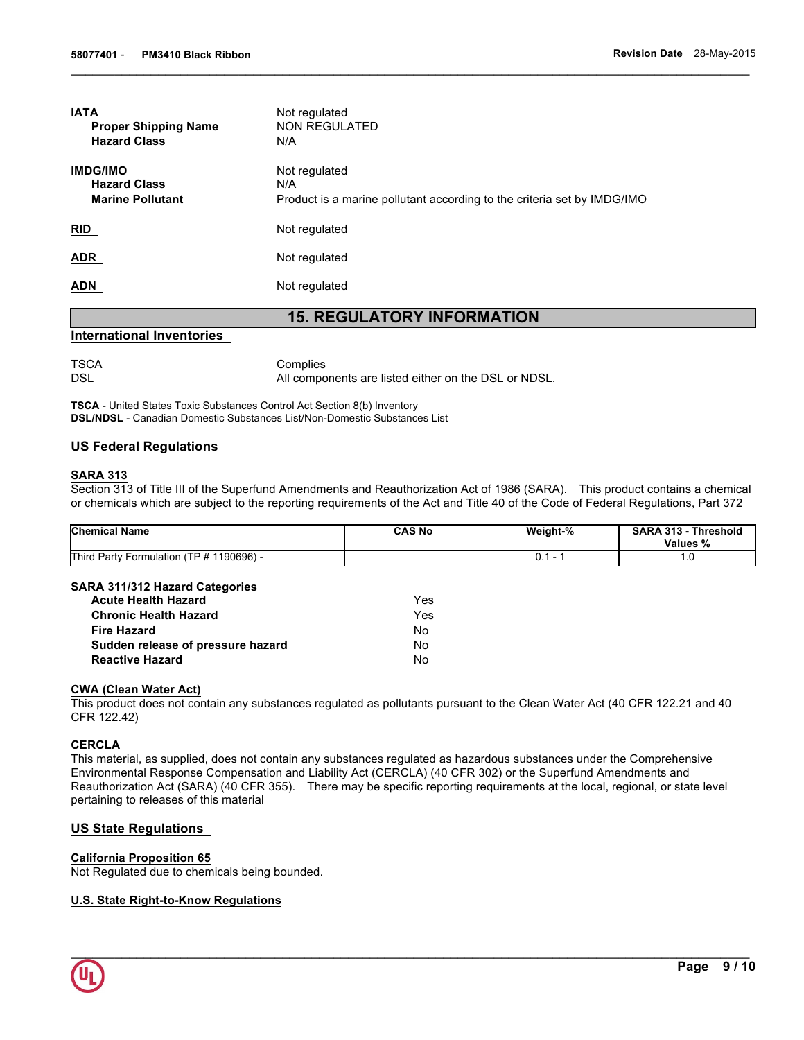| <b>IMDG/IMO</b>         | Not regulated                                                           |
|-------------------------|-------------------------------------------------------------------------|
| <b>Hazard Class</b>     | N/A                                                                     |
| <b>Marine Pollutant</b> | Product is a marine pollutant according to the criteria set by IMDG/IMO |
|                         |                                                                         |
| <b>RID</b>              | Not regulated                                                           |
| <b>ADR</b>              | Not regulated                                                           |
|                         |                                                                         |
| <b>ADN</b>              | Not regulated                                                           |

# **International Inventories**

TSCA Complies

DSL DSL All components are listed either on the DSL or NDSL.

 $\mathcal{L}_\mathcal{L} = \{ \mathcal{L}_\mathcal{L} = \{ \mathcal{L}_\mathcal{L} = \{ \mathcal{L}_\mathcal{L} = \{ \mathcal{L}_\mathcal{L} = \{ \mathcal{L}_\mathcal{L} = \{ \mathcal{L}_\mathcal{L} = \{ \mathcal{L}_\mathcal{L} = \{ \mathcal{L}_\mathcal{L} = \{ \mathcal{L}_\mathcal{L} = \{ \mathcal{L}_\mathcal{L} = \{ \mathcal{L}_\mathcal{L} = \{ \mathcal{L}_\mathcal{L} = \{ \mathcal{L}_\mathcal{L} = \{ \mathcal{L}_\mathcal{$ 

**TSCA** - United States Toxic Substances Control Act Section 8(b) Inventory **DSL/NDSL** - Canadian Domestic Substances List/Non-Domestic Substances List

# **US Federal Regulations**

### **SARA 313**

Section 313 of Title III of the Superfund Amendments and Reauthorization Act of 1986 (SARA). This product contains a chemical or chemicals which are subject to the reporting requirements of the Act and Title 40 of the Code of Federal Regulations, Part 372

| <b>Chemical Name</b>                     | <b>CAS No</b> | Weight-% | <b>SARA 313 -</b><br>Threshold<br>Values % |
|------------------------------------------|---------------|----------|--------------------------------------------|
| Third Party Formulation (TP # 1190696) - |               |          | ں.                                         |

#### **SARA 311/312 Hazard Categories**

| <b>Acute Health Hazard</b>        | Yes. |
|-----------------------------------|------|
| <b>Chronic Health Hazard</b>      | Yes  |
| Fire Hazard                       | N٥   |
| Sudden release of pressure hazard | N٥   |
| <b>Reactive Hazard</b>            | N٥   |

### **CWA (Clean Water Act)**

This product does not contain any substances regulated as pollutants pursuant to the Clean Water Act (40 CFR 122.21 and 40 CFR 122.42)

# **CERCLA**

This material, as supplied, does not contain any substances regulated as hazardous substances under the Comprehensive Environmental Response Compensation and Liability Act (CERCLA) (40 CFR 302) or the Superfund Amendments and Reauthorization Act (SARA) (40 CFR 355). There may be specific reporting requirements at the local, regional, or state level pertaining to releases of this material

# **US State Regulations**

#### **California Proposition 65**

Not Regulated due to chemicals being bounded.

# **U.S. State Right-to-Know Regulations**